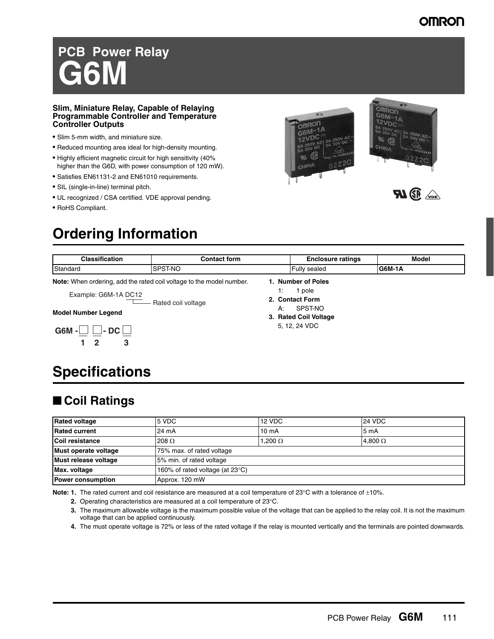### **OMRON**

# **PCB Power Relay G6M**

### **Slim, Miniature Relay, Capable of Relaying Programmable Controller and Temperature Controller Outputs**

- Slim 5-mm width, and miniature size.
- Reduced mounting area ideal for high-density mounting.
- Highly efficient magnetic circuit for high sensitivity (40% higher than the G6D, with power consumption of 120 mW).
- Satisfies EN61131-2 and EN61010 requirements.
- SIL (single-in-line) terminal pitch.
- UL recognized / CSA certified. VDE approval pending.
- RoHS Compliant.

## **Ordering Information**





**FU SE** 

| <b>Classification</b>                                                       | <b>Contact form</b> | <b>Enclosure ratings</b> | Model   |
|-----------------------------------------------------------------------------|---------------------|--------------------------|---------|
| Standard                                                                    | SPST-NO             | <b>Fully sealed</b>      | IG6M-1A |
| <b>Note:</b> When ordering, add the rated coil voltage to the model number. |                     | 1. Number of Poles       |         |
| Evombo: CEM 1A DO12                                                         |                     | pole                     |         |

- Rated coil voltage Example: G6M-1A DC12

#### **Model Number Legend**



### **2. Contact Form** A: SPST-NO **3. Rated Coil Voltage** 5, 12, 24 VDC

## **Specifications**

### ■ Coil Ratings

| <b>Rated voltage</b>     | 5 VDC                                     | 12 VDC            | <b>24 VDC</b>    |
|--------------------------|-------------------------------------------|-------------------|------------------|
| <b>Rated current</b>     | 24 mA                                     | 10 <sub>m</sub> A | 5 <sub>m</sub> A |
| Coil resistance          | 208 $\Omega$                              | $1,200\ \Omega$   | 4,800 $\Omega$   |
| Must operate voltage     | 75% max. of rated voltage                 |                   |                  |
| Must release voltage     | 5% min. of rated voltage                  |                   |                  |
| Max. voltage             | 160% of rated voltage (at $23^{\circ}$ C) |                   |                  |
| <b>Power consumption</b> | Approx. 120 mW                            |                   |                  |

Note: 1. The rated current and coil resistance are measured at a coil temperature of 23°C with a tolerance of ±10%.

- **2.** Operating characteristics are measured at a coil temperature of 23°C.
- **3.** The maximum allowable voltage is the maximum possible value of the voltage that can be applied to the relay coil. It is not the maximum voltage that can be applied continuously.
- **4.** The must operate voltage is 72% or less of the rated voltage if the relay is mounted vertically and the terminals are pointed downwards.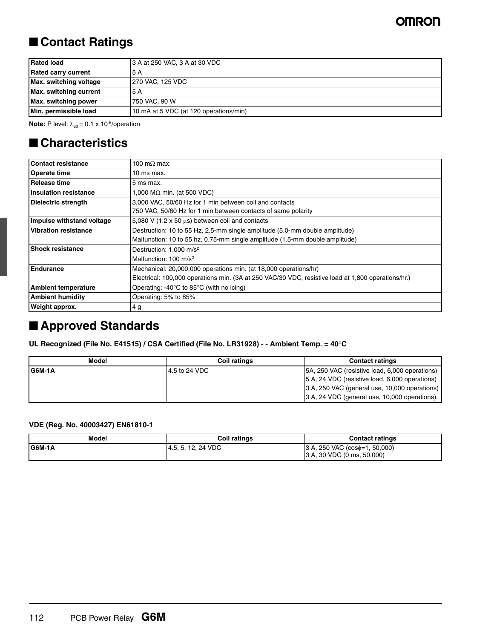### ■ **Contact Ratings**

| <b>Rated load</b>          | 3 A at 250 VAC, 3 A at 30 VDC          |
|----------------------------|----------------------------------------|
| <b>Rated carry current</b> | -5 A                                   |
| Max. switching voltage     | 270 VAC, 125 VDC                       |
| Max. switching current     | 5 A                                    |
| Max. switching power       | 750 VAC, 90 W                          |
| Min. permissible load      | 10 mA at 5 VDC (at 120 operations/min) |

**Note:** P level:  $\lambda_{60} = 0.1 \times 10^{-6}$ /operation

### ■ **Characteristics**

| <b>Contact resistance</b>    | 100 m $\Omega$ max.                                                                                |  |
|------------------------------|----------------------------------------------------------------------------------------------------|--|
| <b>Operate time</b>          | 10 ms max.                                                                                         |  |
| Release time                 | 5 ms max.                                                                                          |  |
| <b>Insulation resistance</b> | 1,000 M $\Omega$ min. (at 500 VDC)                                                                 |  |
| Dielectric strength          | 3,000 VAC, 50/60 Hz for 1 min between coil and contacts                                            |  |
|                              | 750 VAC, 50/60 Hz for 1 min between contacts of same polarity                                      |  |
| Impulse withstand voltage    | 5,080 V (1.2 x 50 $\mu$ s) between coil and contacts                                               |  |
| <b>Vibration resistance</b>  | Destruction: 10 to 55 Hz, 2.5-mm single amplitude (5.0-mm double amplitude)                        |  |
|                              | Malfunction: 10 to 55 hz, 0.75-mm single amplitude (1.5-mm double amplitude)                       |  |
| <b>Shock resistance</b>      | Destruction: 1,000 m/s <sup>2</sup>                                                                |  |
|                              | Malfunction: $100 \text{ m/s}^2$                                                                   |  |
| <b>Endurance</b>             | Mechanical: 20,000,000 operations min. (at 18,000 operations/hr)                                   |  |
|                              | Electrical: 100,000 operations min. (3A at 250 VAC/30 VDC, resistive load at 1,800 operations/hr.) |  |
| <b>Ambient temperature</b>   | Operating: $-40^{\circ}$ C to 85 $^{\circ}$ C (with no icing)                                      |  |
| <b>Ambient humidity</b>      | Operating: 5% to 85%                                                                               |  |
| <b>Weight approx.</b>        | 4 g                                                                                                |  |

### ■ **Approved Standards**

**UL Recognized (File No. E41515) / CSA Certified (File No. LR31928) - - Ambient Temp. = 40**°**C**

| Model   | <b>Coil ratings</b> | <b>Contact ratings</b>                         |
|---------|---------------------|------------------------------------------------|
| IG6M-1A | 4.5 to 24 VDC       | 5A, 250 VAC (resistive load, 6,000 operations) |
|         |                     | 5 A, 24 VDC (resistive load, 6,000 operations) |
|         |                     | 3 A, 250 VAC (general use, 10,000 operations)  |
|         |                     | 3 A, 24 VDC (general use, 10,000 operations)   |

### **VDE (Reg. No. 40003427) EN61810-1**

| Model   | <b>Coil ratings</b> | <b>Contact ratings</b>                                            |
|---------|---------------------|-------------------------------------------------------------------|
| IG6M-1A | 4.5. 5. 12. 24 VDC  | $(3 A, 250 VAC (cos0=1, 50,000))$<br>(3 A, 30 VDC (0 ms, 50,000)) |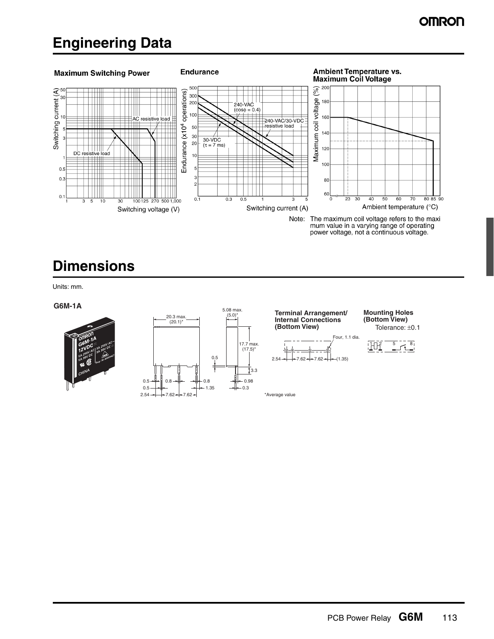## **Engineering Data**



## **Dimensions**

Units: mm.

#### **G6M-1A**







Tolerance: ±0.1 **Mounting Holes**



\*Average value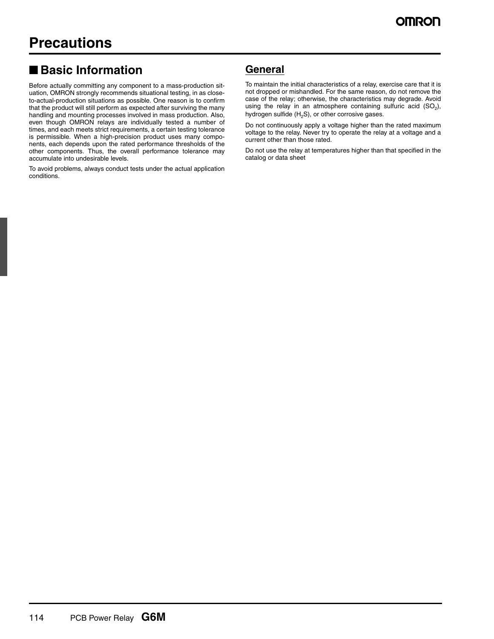### ■ **Basic Information**

Before actually committing any component to a mass-production situation, OMRON strongly recommends situational testing, in as closeto-actual-production situations as possible. One reason is to confirm that the product will still perform as expected after surviving the many handling and mounting processes involved in mass production. Also, even though OMRON relays are individually tested a number of times, and each meets strict requirements, a certain testing tolerance is permissible. When a high-precision product uses many components, each depends upon the rated performance thresholds of the other components. Thus, the overall performance tolerance may accumulate into undesirable levels.

To avoid problems, always conduct tests under the actual application conditions.

### **General**

To maintain the initial characteristics of a relay, exercise care that it is not dropped or mishandled. For the same reason, do not remove the case of the relay; otherwise, the characteristics may degrade. Avoid using the relay in an atmosphere containing sulfuric acid  $(SO<sub>2</sub>)$ , hydrogen sulfide  $(H<sub>2</sub>S)$ , or other corrosive gases.

Do not continuously apply a voltage higher than the rated maximum voltage to the relay. Never try to operate the relay at a voltage and a current other than those rated.

Do not use the relay at temperatures higher than that specified in the catalog or data sheet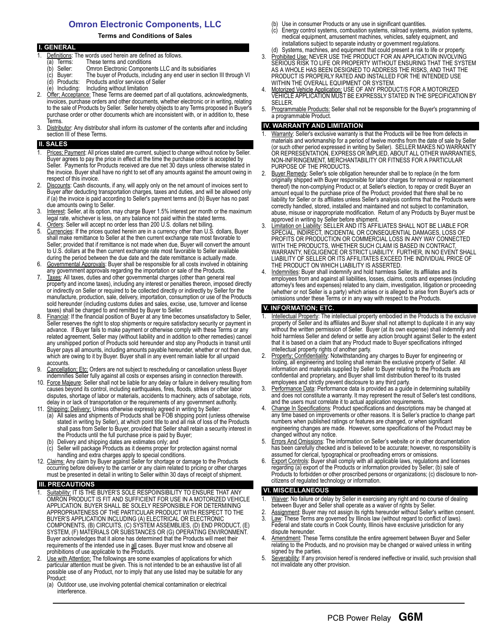### **Omron Electronic Components, LLC**

#### **Terms and Conditions of Sales**

|    | <b>I. GENERAL</b>                                                                         |
|----|-------------------------------------------------------------------------------------------|
|    | Definitions: The words used herein are defined as follows.                                |
|    | These terms and conditions<br>Terms:<br>a)                                                |
|    | Omron Electronic Components LLC and its subsidiaries<br>Seller:<br>(b                     |
|    | The buyer of Products, including any end user in section III through VI<br>(c) Buyer:     |
|    | Products and/or services of Seller<br>(d) Products:                                       |
|    | (e) Including: Including without limitation                                               |
| 2. | Offer: Acceptance: These Terms are deemed part of all quotations, acknowledgments,        |
|    | invoices, purchase orders and other documents, whether electronic or in writing, relating |
|    | to the sale of Products by Seller. Seller hereby objects to any Terms proposed in Buyer's |
|    | purchase order or other documents which are inconsistent with, or in addition to, these   |
|    | Terms.                                                                                    |

3. Distributor: Any distributor shall inform its customer of the contents after and including section III of these Terms.

#### **SALES**

- Prices: Payment: All prices stated are current, subject to change without notice by Seller. Buyer agrees to pay the price in effect at the time the purchase order is accepted by Seller. Payments for Products received are due net 30 days unless otherwise stated in the invoice. Buyer shall have no right to set off any amounts against the amount owing in respect of this invoice.
- Discounts: Cash discounts, if any, will apply only on the net amount of invoices sent to Buyer after deducting transportation charges, taxes and duties, and will be allowed only if (a) the invoice is paid according to Seller's payment terms and (b) Buyer has no past due amounts owing to Seller.
- 3. Interest: Seller, at its option, may charge Buyer 1.5% interest per month or the maximum legal rate, whichever is less, on any balance not paid within the stated terms.
- 4. Orders: Seller will accept no order less than 200 U.S. dollars net billing.<br>5. Currencies: If the prices quoted herein are in a currency other than U.S. Currencies: If the prices quoted herein are in a currency other than U.S. dollars, Buyer shall make remittance to Seller at the then current exchange rate most favorable to Seller; provided that if remittance is not made when due, Buyer will convert the amount to U.S. dollars at the then current exchange rate most favorable to Seller available during the period between the due date and the date remittance is actually made.
- 6. Governmental Approvals: Buyer shall be responsible for all costs involved in obtaining any government approvals regarding the importation or sale of the Products.
- 7. Taxes: All taxes, duties and other governmental charges (other than general real property and income taxes), including any interest or penalties thereon, imposed directly or indirectly on Seller or required to be collected directly or indirectly by Seller for the manufacture, production, sale, delivery, importation, consumption or use of the Products sold hereunder (including customs duties and sales, excise, use, turnover and license taxes) shall be charged to and remitted by Buyer to Seller.
- 8. Financial: If the financial position of Buyer at any time becomes unsatisfactory to Seller, Seller reserves the right to stop shipments or require satisfactory security or payment in advance. If Buyer fails to make payment or otherwise comply with these Terms or any related agreement, Seller may (without liability and in addition to other remedies) cancel any unshipped portion of Products sold hereunder and stop any Products in transit until Buyer pays all amounts, including amounts payable hereunder, whether or not then due, which are owing to it by Buyer. Buyer shall in any event remain liable for all unpaid accounts.
- 9. Cancellation; Etc: Orders are not subject to rescheduling or cancellation unless Buyer indemnifies Seller fully against all costs or expenses arising in connection therewith.
- 10. Force Majeure: Seller shall not be liable for any delay or failure in delivery resulting from causes beyond its control, including earthquakes, fires, floods, strikes or other labor disputes, shortage of labor or materials, accidents to machinery, acts of sabotage, riots, delay in or lack of transportation or the requirements of any government authority.
- 11. Shipping; Delivery: Unless otherwise expressly agreed in writing by Seller:
	- (a) All sales and shipments of Products shall be FOB shipping point (unless otherwise stated in writing by Seller), at which point title to and all risk of loss of the Products shall pass from Seller to Buyer, provided that Seller shall retain a security interest in the Products until the full purchase price is paid by Buyer;
	- Delivery and shipping dates are estimates only; and
	- Seller will package Products as it deems proper for protection against normal handling and extra charges apply to special conditions.
- 12. Claims: Any claim by Buyer against Seller for shortage or damage to the Products occurring before delivery to the carrier or any claim related to pricing or other charges must be presented in detail in writing to Seller within 30 days of receipt of shipment.

#### **III. PRECAUTIONS**

- Suitability: IT IS THE BUYER'S SOLE RESPOINSIBILITY TO ENSURE THAT ANY OMRON PRODUCT IS FIT AND SUFFICIENT FOR USE IN A MOTORIZED VEHICLE APPLICATION. BUYER SHALL BE SOLELY RESPONSIBLE FOR DETERMINING APPROPRIATENESS OF THE PARTICULAR PRODUCT WITH RESPECT TO THE BUYER'S APPLICATION INCLUDING (A) ELECTRICAL OR ELECTRONIC COMPONENTS, (B) CIRCUITS, (C) SYSTEM ASSEMBLIES, (D) END PRODUCT, (E) SYSTEM, (F) MATERIALS OR SUBSTANCES OR (G) OPERATING ENVIRONMENT. Buyer acknowledges that it alone has determined that the Products will meet their requirements of the intended use in all cases. Buyer must know and observe all prohibitions of use applicable to the Product/s.
- 2. Use with Attention: The followings are some examples of applications for which particular attention must be given. This is not intended to be an exhaustive list of all possible use of any Product, nor to imply that any use listed may be suitable for any Product:
	- (a) Outdoor use, use involving potential chemical contamination or electrical interference.
- (b) Use in consumer Products or any use in significant quantities.
- (c) Energy control systems, combustion systems, railroad systems, aviation systems, medical equipment, amusement machines, vehicles, safety equipment, and installations subject to separate industry or government regulations. (d) Systems, machines, and equipment that could present a risk to life or property.
- 3. Prohibited Use: NEVER USE THE PRODUCT FOR AN APPLICATION INVOLVING SERIOUS RISK TO LIFE OR PROPERTY WITHOUT ENSURING THAT THE SYSTEM AS A WHOLE HAS BEEN DESIGNED TO ADDRESS THE RISKS, AND THAT THE PRODUCT IS PROPERLY RATED AND INSTALLED FOR THE INTENDED USE WITHIN THE OVERALL EQUIPMENT OR SYSTEM.
- 4. Motorized Vehicle Application: USE OF ANY PRODUCT/S FOR A MOTORIZED VEHICLE APPLICATION MUST BE EXPRESSLY STATED IN THE SPECIFICATION BY SELLER.
- 5. Programmable Products: Seller shall not be responsible for the Buyer's programming of a programmable Product.

#### **IV. WARRANTY AND LIMITATION**

- Warranty: Seller's exclusive warranty is that the Products will be free from defects in materials and workmanship for a period of twelve months from the date of sale by Seller (or such other period expressed in writing by Seller). SELLER MAKES NO WARRANTY OR REPRESENTATION, EXPRESS OR IMPLIED, ABOUT ALL OTHER WARRANTIES, NON-INFRINGEMENT, MERCHANTABILITY OR FITNESS FOR A PARTICULAR PURPOSE OF THE PRODUCTS.
- 2. Buyer Remedy: Seller's sole obligation hereunder shall be to replace (in the form originally shipped with Buyer responsible for labor charges for removal or replacement thereof) the non-complying Product or, at Seller's election, to repay or credit Buyer an amount equal to the purchase price of the Product; provided that there shall be no liability for Seller or its affiliates unless Seller's analysis confirms that the Products were correctly handled, stored, installed and maintained and not subject to contamination, abuse, misuse or inappropriate modification. Return of any Products by Buyer must be approved in writing by Seller before shipment.
- 3. Limitation on Liability: SELLER AND ITS AFFILIATES SHALL NOT BE LIABLE FOR SPECIAL, INDIRECT, INCIDENTAL OR CONSEQUENTIAL DAMAGES, LOSS OF PROFITS OR PRODUCTION OR COMMERCIAL LOSS IN ANY WAY CONNECTED WITH THE PRODUCTS, WHETHER SUCH CLAIM IS BASED IN CONTRACT, WARRANTY, NEGLIGENCE OR STRICT LIABILITY. FURTHER, IN NO EVENT SHALL LIABILITY OF SELLER OR ITS AFFILITATES EXCEED THE INDIVIDUAL PRICE OF THE PRODUCT ON WHICH LIABILITY IS ASSERTED.
- Indemnities: Buyer shall indemnify and hold harmless Seller, its affiliates and its employees from and against all liabilities, losses, claims, costs and expenses (including attorney's fees and expenses) related to any claim, investigation, litigation or proceeding (whether or not Seller is a party) which arises or is alleged to arise from Buyer's acts or omissions under these Terms or in any way with respect to the Products.

#### **V. INFORMATION; ETC.**

- 1. Intellectual Property: The intellectual property embodied in the Products is the exclusive property of Seller and its affiliates and Buyer shall not attempt to duplicate it in any way without the written permission of Seller. Buyer (at its own expense) shall indemnify and hold harmless Seller and defend or settle any action brought against Seller to the extent that it is based on a claim that any Product made to Buyer specifications infringed intellectual property rights of another party.
- Property: Confidentiality: Notwithstanding any charges to Buyer for engineering or tooling, all engineering and tooling shall remain the exclusive property of Seller. All information and materials supplied by Seller to Buyer relating to the Products are confidential and proprietary, and Buyer shall limit distribution thereof to its trusted employees and strictly prevent disclosure to any third party.
- 3. Performance Data: Performance data is provided as a guide in determining suitability and does not constitute a warranty. It may represent the result of Seller's test conditions, and the users must correlate it to actual application requirements.
- Change In Specifications: Product specifications and descriptions may be changed at any time based on improvements or other reasons. It is Seller's practice to change part numbers when published ratings or features are changed, or when significant engineering changes are made. However, some specifications of the Product may be changed without any notice.
- 5. Errors And Omissions: The information on Seller's website or in other documentation has been carefully checked and is believed to be accurate; however, no responsibility is assumed for clerical, typographical or proofreading errors or omissions.
- 6. Export Controls: Buyer shall comply with all applicable laws, regulations and licenses regarding (a) export of the Products or information provided by Seller; (b) sale of Products to forbidden or other proscribed persons or organizations; (c) disclosure to noncitizens of regulated technology or information.

#### **VI. MISCELLANEOUS**

- Waiver: No failure or delay by Seller in exercising any right and no course of dealing between Buyer and Seller shall operate as a waiver of rights by Seller.
- 2. Assignment: Buyer may not assign its rights hereunder without Seller's written consent. 3. Law: These Terms are governed by Illinois law (without regard to conflict of laws).
- Federal and state courts in Cook County, Illinois have exclusive jurisdiction for any dispute hereunder. 4. Amendment: These Terms constitute the entire agreement between Buyer and Seller
- relating to the Products, and no provision may be changed or waived unless in writing signed by the parties.
- 5. Severability: If any provision hereof is rendered ineffective or invalid, such provision shall not invalidate any other provision.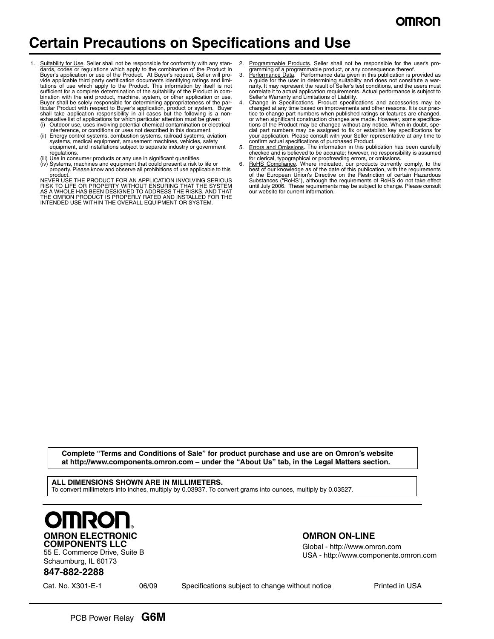## **Certain Precautions on Specifications and Use**

- Suitability for Use. Seller shall not be responsible for conformity with any standards, codes or regulations which apply to the combination of the Product in Buyer's application or use of the Product. At Buyer's request, Seller will provide applicable third party certification documents identifying ratings and limi-<br>tations of use which apply to the Product. This information by itself is not<br>sufficient for a complete determination of the suitability of t bination with the end product, machine, system, or other application or use.<br>Buyer shall be solely responsible for determining appropriateness of the par-<br>ticular Product with respect to Buyer's application, product or sys
	- (i) Outdoor use, uses involving potential chemical contamination or electrical interference, or conditions or uses not described in this document.
	- (ii) Energy control systems, combustion systems, railroad systems, aviation systems, medical equipment, amusement machines, vehicles, safety equipment, and installations subject to separate industry or government regulations.
	-
	- (iii) Use in consumer products or any use in significant quantities. (iv) Systems, machines and equipment that could present a risk to life or property. Please know and observe all prohibitions of use applicable to this product.

NEVER USE THE PRODUCT FOR AN APPLICATION INVOLVING SERIOUS<br>RISK TO LIFE OR PROPERTY WITHOUT ENSURING THAT THE SYSTEM<br>AS A WHOLE HAS BEEN DESIGNED TO ADDRESS THE RISKS, AND THAT<br>THE OMRON PRODUCT IS PROPERLY RATED AND INSTA

- Programmable Products. Seller shall not be responsible for the user's pro-
- gramming of a programmable product, or any consequence thereof.<br>3. Performance Data. Performance data given in this publication is provided as a guide for the user in determining suitability and does not constitute a war-ranty. It may represent the result of Seller's test conditions, and the users must correlate it to actual application requirements. Actual performance is subject to
- Seller's Warranty and Limitations of Liability.<br>4. Ch<u>ange in Specifications</u>. Product specifications and accessories may be<br>changed at any time based on improvements and other reasons. It is our practice to change part numbers when published ratings or features are changed, or when significant construction changes are made. However, some specifications of the Product may be changed without any notice. When in doubt, special part numbers may be assigned to fix or establish key specifications for your application. Please consult with your Seller representative at any
- checked and is believed to be accurate; however, no responsibility is assumed
- for clerical, typographical or proofreading errors, or omissions.<br>6. **RoHS Compliance**. Where indicated, our products currently comply, to the<br>best of our knowledge as of the date of this publication, with the requirements Substances ("RoHS"), although the requirements of RoHS do not take effect until July 2006. These requirements may be subject to change. Please consult our website for current information.

**Complete "Terms and Conditions of Sale" for product purchase and use are on Omron's website at http://www.components.omron.com – under the "About Us" tab, in the Legal Matters section.**

**ALL DIMENSIONS SHOWN ARE IN MILLIMETERS.** To convert millimeters into inches, multiply by 0.03937. To convert grams into ounces, multiply by 0.03527.



55 E. Commerce Drive, Suite B Schaumburg, IL 60173

### **OMRON ON-LINE**

Global - http://www.omron.com USA - http://www.components.omron.com

### **847-882-2288**

Cat. No. X301-E-1 06/09 Specifications subject to change without notice Printed in USA